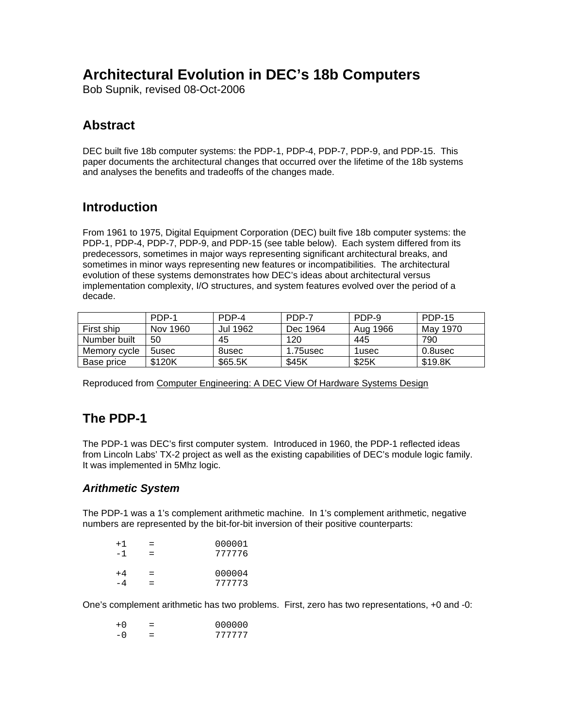# **Architectural Evolution in DEC's 18b Computers**

Bob Supnik, revised 08-Oct-2006

# **Abstract**

DEC built five 18b computer systems: the PDP-1, PDP-4, PDP-7, PDP-9, and PDP-15. This paper documents the architectural changes that occurred over the lifetime of the 18b systems and analyses the benefits and tradeoffs of the changes made.

# **Introduction**

From 1961 to 1975, Digital Equipment Corporation (DEC) built five 18b computer systems: the PDP-1, PDP-4, PDP-7, PDP-9, and PDP-15 (see table below). Each system differed from its predecessors, sometimes in major ways representing significant architectural breaks, and sometimes in minor ways representing new features or incompatibilities. The architectural evolution of these systems demonstrates how DEC's ideas about architectural versus implementation complexity, I/O structures, and system features evolved over the period of a decade.

|              | PDP-1    | PDP-4    | PDP-7    | PDP-9    | <b>PDP-15</b> |
|--------------|----------|----------|----------|----------|---------------|
| First ship   | Nov 1960 | Jul 1962 | Dec 1964 | Aug 1966 | May 1970      |
| Number built | 50       | 45       | 120      | 445      | 790           |
| Memory cycle | 5usec    | 8usec    | 1.75usec | 1usec    | 0.8usec       |
| Base price   | \$120K   | \$65.5K  | \$45K    | \$25K    | \$19.8K       |

Reproduced from Computer Engineering: A DEC View Of Hardware Systems Design

# **The PDP-1**

The PDP-1 was DEC's first computer system. Introduced in 1960, the PDP-1 reflected ideas from Lincoln Labs' TX-2 project as well as the existing capabilities of DEC's module logic family. It was implemented in 5Mhz logic.

## *Arithmetic System*

The PDP-1 was a 1's complement arithmetic machine. In 1's complement arithmetic, negative numbers are represented by the bit-for-bit inversion of their positive counterparts:

| $+1$ | $=$        | 000001           |
|------|------------|------------------|
| - 1  | $=$        | 777776           |
| $+4$ | $=$<br>$=$ | 000004<br>777773 |

One's complement arithmetic has two problems. First, zero has two representations, +0 and -0:

| $+0$ | =   | 000000 |
|------|-----|--------|
| – ი  | $=$ | 777777 |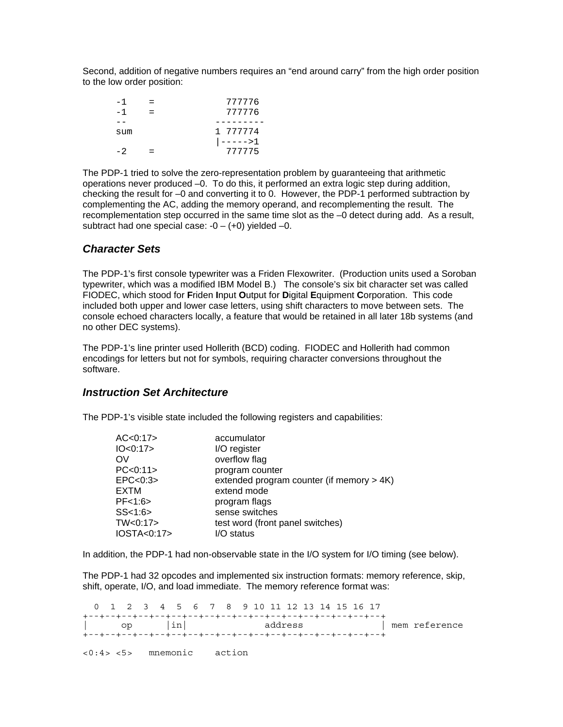Second, addition of negative numbers requires an "end around carry" from the high order position to the low order position:

| - 1 | 777776   |
|-----|----------|
| - 1 | 777776   |
|     |          |
| sum | 1 777774 |
|     | ----->1  |
|     | 777775   |

The PDP-1 tried to solve the zero-representation problem by guaranteeing that arithmetic operations never produced –0. To do this, it performed an extra logic step during addition, checking the result for –0 and converting it to 0. However, the PDP-1 performed subtraction by complementing the AC, adding the memory operand, and recomplementing the result. The recomplementation step occurred in the same time slot as the –0 detect during add. As a result, subtract had one special case:  $-0 - (+0)$  yielded  $-0$ .

#### *Character Sets*

The PDP-1's first console typewriter was a Friden Flexowriter. (Production units used a Soroban typewriter, which was a modified IBM Model B.) The console's six bit character set was called FIODEC, which stood for **F**riden **I**nput **O**utput for **D**igital **E**quipment **C**orporation. This code included both upper and lower case letters, using shift characters to move between sets. The console echoed characters locally, a feature that would be retained in all later 18b systems (and no other DEC systems).

The PDP-1's line printer used Hollerith (BCD) coding. FIODEC and Hollerith had common encodings for letters but not for symbols, requiring character conversions throughout the software.

#### *Instruction Set Architecture*

The PDP-1's visible state included the following registers and capabilities:

| AC < 0:17   | accumulator                                  |
|-------------|----------------------------------------------|
| IO<0:17     | I/O register                                 |
| OV          | overflow flag                                |
| PC < 0.11   | program counter                              |
| EPC < 0.3   | extended program counter (if memory $> 4K$ ) |
| <b>EXTM</b> | extend mode                                  |
| PF<1:6>     | program flags                                |
| SS < 1:6    | sense switches                               |
| TW<0:17>    | test word (front panel switches)             |
| IOSTA<0:17> | /O status                                    |

In addition, the PDP-1 had non-observable state in the I/O system for I/O timing (see below).

The PDP-1 had 32 opcodes and implemented six instruction formats: memory reference, skip, shift, operate, I/O, and load immediate. The memory reference format was:

 0 1 2 3 4 5 6 7 8 9 10 11 12 13 14 15 16 17 +--+--+--+--+--+--+--+--+--+--+--+--+--+--+--+--+--+--+ | op |in| address | mem reference +--+--+--+--+--+--+--+--+--+--+--+--+--+--+--+--+--+--+ <0:4> <5> mnemonic action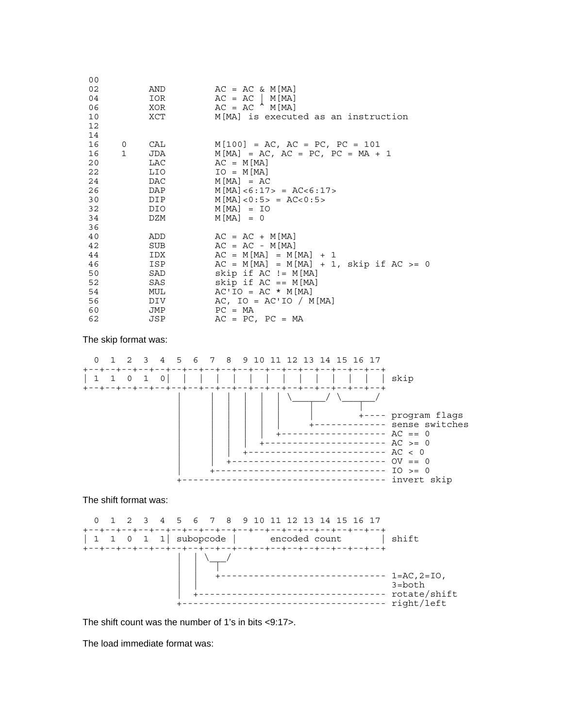| 0 <sub>0</sub><br>02<br>04<br>06<br>10<br>12 <sub>2</sub><br>14 |      | AND<br>IOR<br>XOR<br>XCT | $AC = AC & M[MA]$<br>$AC = AC \mid M[MA]$<br>$AC = AC \mid M[MA]$<br>M[MA] is executed as an instruction |
|-----------------------------------------------------------------|------|--------------------------|----------------------------------------------------------------------------------------------------------|
| 16                                                              |      | 0 CAL                    | $M[100] = AC$ , $AC = PC$ , $PC = 101$                                                                   |
|                                                                 | 16 1 | JDA                      | $M[MA] = AC$ , $AC = PC$ , $PC = MA + 1$                                                                 |
| 20                                                              |      | LAC                      | $AC = M[MA]$                                                                                             |
| 22                                                              |      | LIO                      | $IO = M[MA]$                                                                                             |
| 24                                                              |      | DAC                      | $M[MA] = AC$                                                                                             |
| 26                                                              |      | DAP                      | $M[MA]<6:17> = AC<6:17>$                                                                                 |
| 30                                                              |      | DIP <sub>er</sub>        | $M[MA] < 0:5 > = AC < 0:5 >$                                                                             |
| 32                                                              |      | DIO                      | $M[MA] = IO$                                                                                             |
| 34                                                              |      | DZM                      | $M[MA] = 0$                                                                                              |
| 36                                                              |      |                          |                                                                                                          |
| 40<br>42                                                        |      | ADD<br>SUB               | $AC = AC + M[MA]$<br>$AC = AC - M [MA]$                                                                  |
| 44                                                              |      | IDX                      | $AC = M[MA] = M[MA] + 1$                                                                                 |
| 46                                                              |      | ISP                      | $AC = M[MA] = M[MA] + 1$ , skip if $AC > = 0$                                                            |
| 50                                                              |      | SAD                      | skip if $AC := M[MA]$                                                                                    |
| 52                                                              |      | SAS                      | skip if $AC == M[MA]$                                                                                    |
| 54                                                              |      | MUL                      | $AC'IO = AC * M[MA]$                                                                                     |
| 56                                                              |      | DIV                      | AC, $IO = AC'IO / M[MA]$                                                                                 |
| 60                                                              |      | JMP                      | $PC = MA$                                                                                                |
| 62                                                              |      | JSP                      | $AC = PC$ , $PC = MA$                                                                                    |

The skip format was:



|  | $1 = AC, 2 = IO,$<br>$3 = bottom$ |
|--|-----------------------------------|
|  | rotate/shift<br>right/left        |

The shift count was the number of 1's in bits <9:17>.

The load immediate format was: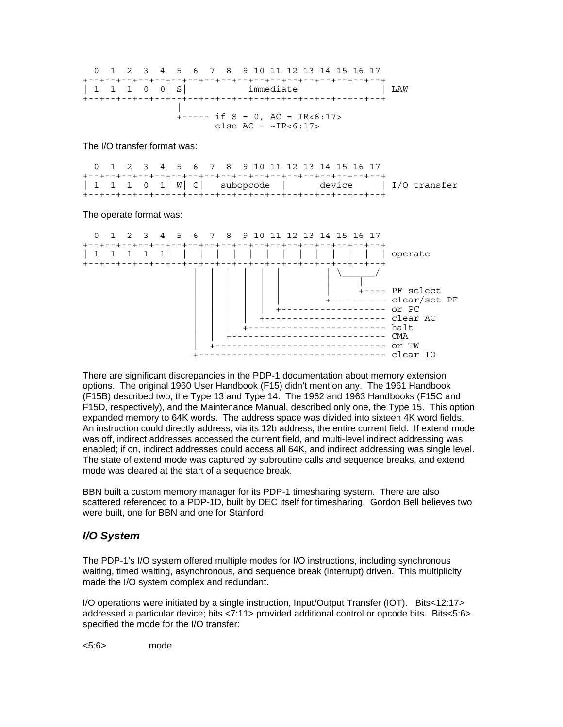

The I/O transfer format was:

| 0 1 2 3 4 5 6 7 8 9 10 11 12 13 14 15 16 17 |  |  |  |  |  |  |  |  |  |  |
|---------------------------------------------|--|--|--|--|--|--|--|--|--|--|
|                                             |  |  |  |  |  |  |  |  |  |  |
|                                             |  |  |  |  |  |  |  |  |  |  |
|                                             |  |  |  |  |  |  |  |  |  |  |

The operate format was:



There are significant discrepancies in the PDP-1 documentation about memory extension options. The original 1960 User Handbook (F15) didn't mention any. The 1961 Handbook (F15B) described two, the Type 13 and Type 14. The 1962 and 1963 Handbooks (F15C and F15D, respectively), and the Maintenance Manual, described only one, the Type 15. This option expanded memory to 64K words. The address space was divided into sixteen 4K word fields. An instruction could directly address, via its 12b address, the entire current field. If extend mode was off, indirect addresses accessed the current field, and multi-level indirect addressing was enabled; if on, indirect addresses could access all 64K, and indirect addressing was single level. The state of extend mode was captured by subroutine calls and sequence breaks, and extend mode was cleared at the start of a sequence break.

BBN built a custom memory manager for its PDP-1 timesharing system. There are also scattered referenced to a PDP-1D, built by DEC itself for timesharing. Gordon Bell believes two were built, one for BBN and one for Stanford.

## *I/O System*

The PDP-1's I/O system offered multiple modes for I/O instructions, including synchronous waiting, timed waiting, asynchronous, and sequence break (interrupt) driven. This multiplicity made the I/O system complex and redundant.

I/O operations were initiated by a single instruction, Input/Output Transfer (IOT). Bits<12:17> addressed a particular device; bits <7:11> provided additional control or opcode bits. Bits<5:6> specified the mode for the I/O transfer:

<5:6> mode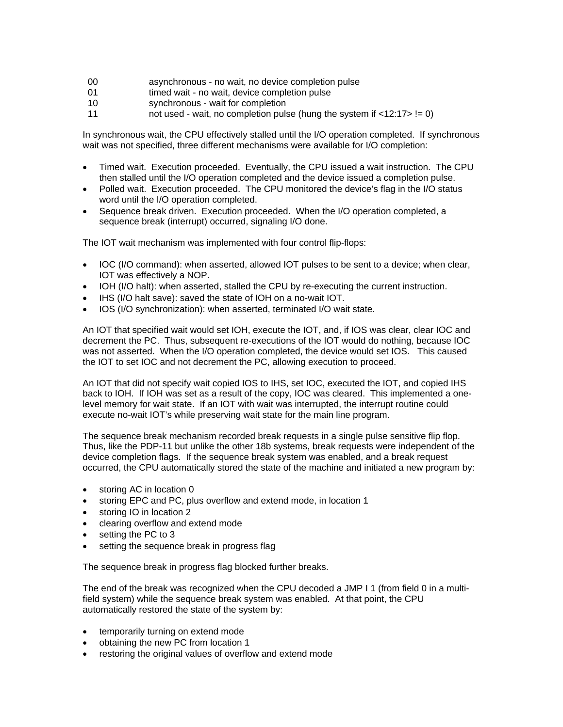- 00 asynchronous no wait, no device completion pulse
- 01 **timed wait no wait, device completion pulse**
- 10 synchronous wait for completion
- 11 not used wait, no completion pulse (hung the system if  $\langle 12:17 \rangle = 0$ )

In synchronous wait, the CPU effectively stalled until the I/O operation completed. If synchronous wait was not specified, three different mechanisms were available for I/O completion:

- Timed wait. Execution proceeded. Eventually, the CPU issued a wait instruction. The CPU then stalled until the I/O operation completed and the device issued a completion pulse.
- Polled wait. Execution proceeded. The CPU monitored the device's flag in the I/O status word until the I/O operation completed.
- Sequence break driven. Execution proceeded. When the I/O operation completed, a sequence break (interrupt) occurred, signaling I/O done.

The IOT wait mechanism was implemented with four control flip-flops:

- IOC (I/O command): when asserted, allowed IOT pulses to be sent to a device; when clear, IOT was effectively a NOP.
- IOH (I/O halt): when asserted, stalled the CPU by re-executing the current instruction.
- IHS (I/O halt save): saved the state of IOH on a no-wait IOT.
- IOS (I/O synchronization): when asserted, terminated I/O wait state.

An IOT that specified wait would set IOH, execute the IOT, and, if IOS was clear, clear IOC and decrement the PC. Thus, subsequent re-executions of the IOT would do nothing, because IOC was not asserted. When the I/O operation completed, the device would set IOS. This caused the IOT to set IOC and not decrement the PC, allowing execution to proceed.

An IOT that did not specify wait copied IOS to IHS, set IOC, executed the IOT, and copied IHS back to IOH. If IOH was set as a result of the copy, IOC was cleared. This implemented a onelevel memory for wait state. If an IOT with wait was interrupted, the interrupt routine could execute no-wait IOT's while preserving wait state for the main line program.

The sequence break mechanism recorded break requests in a single pulse sensitive flip flop. Thus, like the PDP-11 but unlike the other 18b systems, break requests were independent of the device completion flags. If the sequence break system was enabled, and a break request occurred, the CPU automatically stored the state of the machine and initiated a new program by:

- storing AC in location 0
- storing EPC and PC, plus overflow and extend mode, in location 1
- storing IO in location 2
- clearing overflow and extend mode
- setting the PC to 3
- setting the sequence break in progress flag

The sequence break in progress flag blocked further breaks.

The end of the break was recognized when the CPU decoded a JMP I 1 (from field 0 in a multifield system) while the sequence break system was enabled. At that point, the CPU automatically restored the state of the system by:

- temporarily turning on extend mode
- obtaining the new PC from location 1
- restoring the original values of overflow and extend mode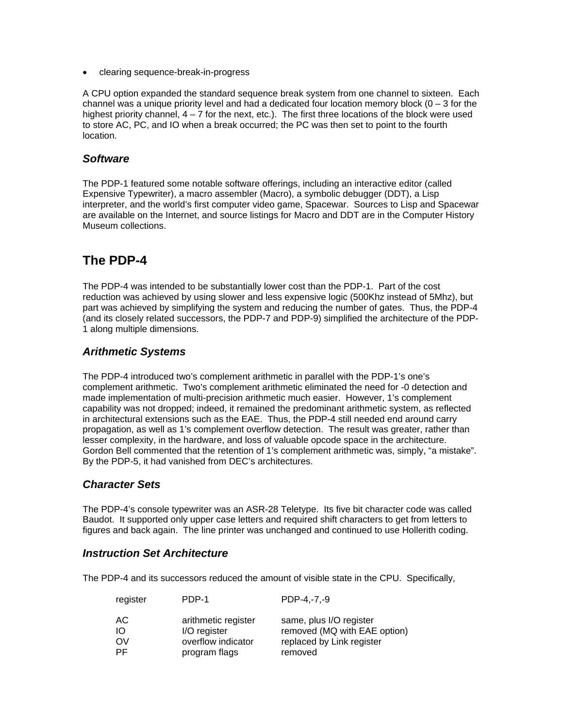• clearing sequence-break-in-progress

A CPU option expanded the standard sequence break system from one channel to sixteen. Each channel was a unique priority level and had a dedicated four location memory block  $(0 - 3)$  for the highest priority channel,  $4 - 7$  for the next, etc.). The first three locations of the block were used to store AC, PC, and IO when a break occurred; the PC was then set to point to the fourth location.

### *Software*

The PDP-1 featured some notable software offerings, including an interactive editor (called Expensive Typewriter), a macro assembler (Macro), a symbolic debugger (DDT), a Lisp interpreter, and the world's first computer video game, Spacewar. Sources to Lisp and Spacewar are available on the Internet, and source listings for Macro and DDT are in the Computer History Museum collections.

# **The PDP-4**

The PDP-4 was intended to be substantially lower cost than the PDP-1. Part of the cost reduction was achieved by using slower and less expensive logic (500Khz instead of 5Mhz), but part was achieved by simplifying the system and reducing the number of gates. Thus, the PDP-4 (and its closely related successors, the PDP-7 and PDP-9) simplified the architecture of the PDP-1 along multiple dimensions.

## *Arithmetic Systems*

The PDP-4 introduced two's complement arithmetic in parallel with the PDP-1's one's complement arithmetic. Two's complement arithmetic eliminated the need for -0 detection and made implementation of multi-precision arithmetic much easier. However, 1's complement capability was not dropped; indeed, it remained the predominant arithmetic system, as reflected in architectural extensions such as the EAE. Thus, the PDP-4 still needed end around carry propagation, as well as 1's complement overflow detection. The result was greater, rather than lesser complexity, in the hardware, and loss of valuable opcode space in the architecture. Gordon Bell commented that the retention of 1's complement arithmetic was, simply, "a mistake". By the PDP-5, it had vanished from DEC's architectures.

## *Character Sets*

The PDP-4's console typewriter was an ASR-28 Teletype. Its five bit character code was called Baudot. It supported only upper case letters and required shift characters to get from letters to figures and back again. The line printer was unchanged and continued to use Hollerith coding.

#### *Instruction Set Architecture*

The PDP-4 and its successors reduced the amount of visible state in the CPU. Specifically,

| register | PDP-1               | PDP-4.-7.-9                  |
|----------|---------------------|------------------------------|
| АC       | arithmetic register | same, plus I/O register      |
| ΙO       | I/O register        | removed (MQ with EAE option) |
| OV       | overflow indicator  | replaced by Link register    |
| PF.      | program flags       | removed                      |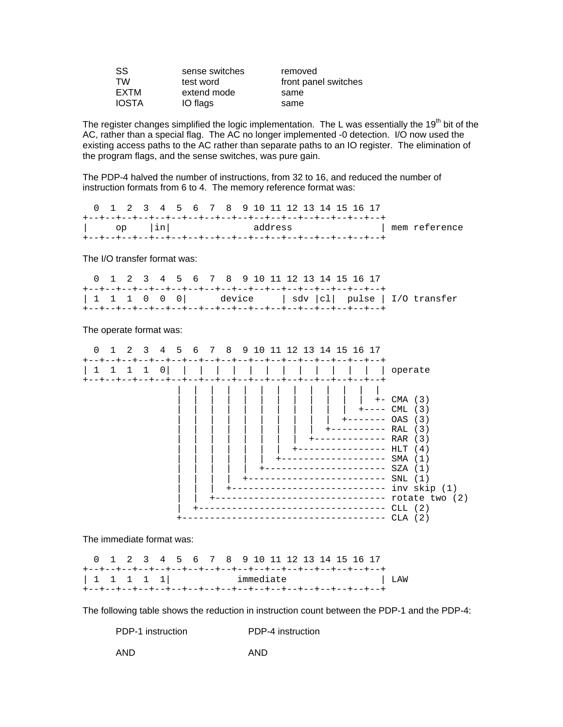| SS           | sense switches | removed              |
|--------------|----------------|----------------------|
| TW           | test word      | front panel switches |
| <b>EXTM</b>  | extend mode    | same                 |
| <b>IOSTA</b> | IO flags       | same                 |

The register changes simplified the logic implementation. The L was essentially the 19<sup>th</sup> bit of the AC, rather than a special flag. The AC no longer implemented -0 detection. I/O now used the existing access paths to the AC rather than separate paths to an IO register. The elimination of the program flags, and the sense switches, was pure gain.

The PDP-4 halved the number of instructions, from 32 to 16, and reduced the number of instruction formats from 6 to 4. The memory reference format was:

| 0 1 2 3 4 5 6 7 8 9 10 11 12 13 14 15 16 17 |  |  |  |  |         |  |  |  |  |               |
|---------------------------------------------|--|--|--|--|---------|--|--|--|--|---------------|
|                                             |  |  |  |  |         |  |  |  |  |               |
| $\vert$ op $\vert$ in $\vert$               |  |  |  |  | address |  |  |  |  | mem reference |
|                                             |  |  |  |  |         |  |  |  |  |               |

The I/O transfer format was:

| 0 1 2 3 4 5 6 7 8 9 10 11 12 13 14 15 16 17 |  |  |  |  |  |  |  |  |  |  |
|---------------------------------------------|--|--|--|--|--|--|--|--|--|--|
|                                             |  |  |  |  |  |  |  |  |  |  |
|                                             |  |  |  |  |  |  |  |  |  |  |
|                                             |  |  |  |  |  |  |  |  |  |  |

The operate format was:



The immediate format was:

 0 1 2 3 4 5 6 7 8 9 10 11 12 13 14 15 16 17 +--+--+--+--+--+--+--+--+--+--+--+--+--+--+--+--+--+--+ | 1 1 1 1 1| immediate | LAW +--+--+--+--+--+--+--+--+--+--+--+--+--+--+--+--+--+--+

The following table shows the reduction in instruction count between the PDP-1 and the PDP-4:

| PDP-1 instruction | PDP-4 instruction |
|-------------------|-------------------|
| AND               | AND               |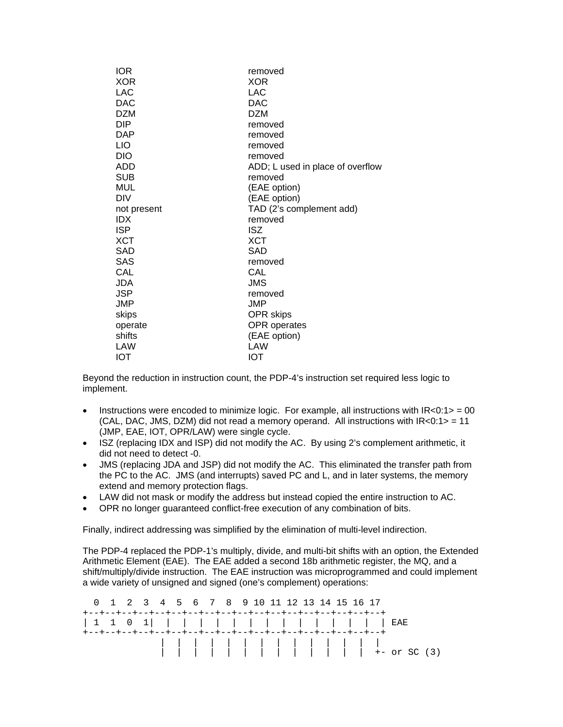| <b>IOR</b>  | removed                          |
|-------------|----------------------------------|
| <b>XOR</b>  | <b>XOR</b>                       |
| LAC         | LAC                              |
| <b>DAC</b>  | <b>DAC</b>                       |
| <b>DZM</b>  | <b>DZM</b>                       |
| <b>DIP</b>  | removed                          |
| <b>DAP</b>  | removed                          |
| <b>LIO</b>  | removed                          |
| <b>DIO</b>  | removed                          |
| ADD         | ADD; L used in place of overflow |
| <b>SUB</b>  | removed                          |
| MUL         | (EAE option)                     |
| <b>DIV</b>  | (EAE option)                     |
| not present | TAD (2's complement add)         |
| <b>IDX</b>  | removed                          |
| <b>ISP</b>  | <b>ISZ</b>                       |
| XCT         | XCT                              |
| SAD         | SAD                              |
| <b>SAS</b>  | removed                          |
| CAL         | CAL                              |
| JDA         | <b>JMS</b>                       |
| <b>JSP</b>  | removed                          |
| JMP         | JMP                              |
| skips       | <b>OPR</b> skips                 |
| operate     | <b>OPR</b> operates              |
| shifts      | (EAE option)                     |
| LAW         | LAW                              |
| <b>IOT</b>  | IOT                              |

Beyond the reduction in instruction count, the PDP-4's instruction set required less logic to implement.

- Instructions were encoded to minimize logic. For example, all instructions with  $IR < 0.1$  > = 00 (CAL, DAC, JMS, DZM) did not read a memory operand. All instructions with  $IR < 0.1$  > = 11 (JMP, EAE, IOT, OPR/LAW) were single cycle.
- ISZ (replacing IDX and ISP) did not modify the AC. By using 2's complement arithmetic, it did not need to detect -0.
- JMS (replacing JDA and JSP) did not modify the AC. This eliminated the transfer path from the PC to the AC. JMS (and interrupts) saved PC and L, and in later systems, the memory extend and memory protection flags.
- LAW did not mask or modify the address but instead copied the entire instruction to AC.
- OPR no longer guaranteed conflict-free execution of any combination of bits.

Finally, indirect addressing was simplified by the elimination of multi-level indirection.

The PDP-4 replaced the PDP-1's multiply, divide, and multi-bit shifts with an option, the Extended Arithmetic Element (EAE). The EAE added a second 18b arithmetic register, the MQ, and a shift/multiply/divide instruction. The EAE instruction was microprogrammed and could implement a wide variety of unsigned and signed (one's complement) operations:

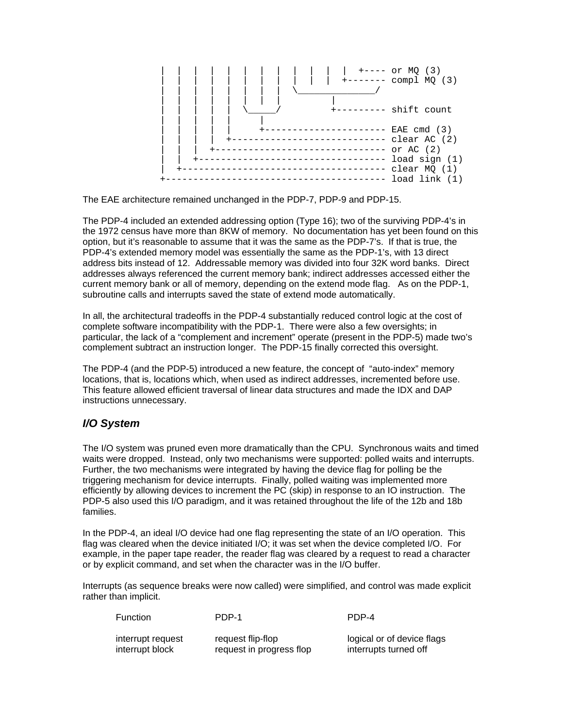

The EAE architecture remained unchanged in the PDP-7, PDP-9 and PDP-15.

The PDP-4 included an extended addressing option (Type 16); two of the surviving PDP-4's in the 1972 census have more than 8KW of memory. No documentation has yet been found on this option, but it's reasonable to assume that it was the same as the PDP-7's. If that is true, the PDP-4's extended memory model was essentially the same as the PDP-1's, with 13 direct address bits instead of 12. Addressable memory was divided into four 32K word banks. Direct addresses always referenced the current memory bank; indirect addresses accessed either the current memory bank or all of memory, depending on the extend mode flag. As on the PDP-1, subroutine calls and interrupts saved the state of extend mode automatically.

In all, the architectural tradeoffs in the PDP-4 substantially reduced control logic at the cost of complete software incompatibility with the PDP-1. There were also a few oversights; in particular, the lack of a "complement and increment" operate (present in the PDP-5) made two's complement subtract an instruction longer. The PDP-15 finally corrected this oversight.

The PDP-4 (and the PDP-5) introduced a new feature, the concept of "auto-index" memory locations, that is, locations which, when used as indirect addresses, incremented before use. This feature allowed efficient traversal of linear data structures and made the IDX and DAP instructions unnecessary.

## *I/O System*

The I/O system was pruned even more dramatically than the CPU. Synchronous waits and timed waits were dropped. Instead, only two mechanisms were supported: polled waits and interrupts. Further, the two mechanisms were integrated by having the device flag for polling be the triggering mechanism for device interrupts. Finally, polled waiting was implemented more efficiently by allowing devices to increment the PC (skip) in response to an IO instruction. The PDP-5 also used this I/O paradigm, and it was retained throughout the life of the 12b and 18b families.

In the PDP-4, an ideal I/O device had one flag representing the state of an I/O operation. This flag was cleared when the device initiated I/O; it was set when the device completed I/O. For example, in the paper tape reader, the reader flag was cleared by a request to read a character or by explicit command, and set when the character was in the I/O buffer.

Interrupts (as sequence breaks were now called) were simplified, and control was made explicit rather than implicit.

Function PDP-1 PDP-4

| interrupt request | request flip-flop        | logical or of device flags |
|-------------------|--------------------------|----------------------------|
| interrupt block   | request in progress flop | interrupts turned off      |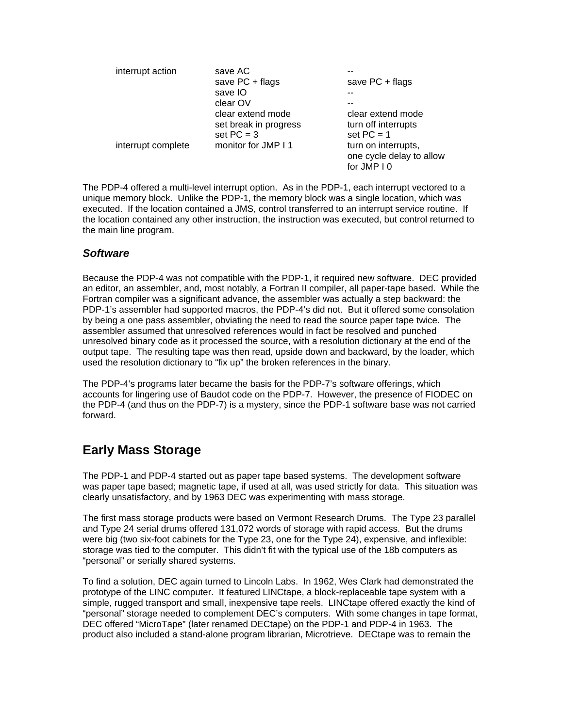| interrupt action   | save AC               |                          |
|--------------------|-----------------------|--------------------------|
|                    | save PC + flags       | save $PC + flags$        |
|                    | save IO               |                          |
|                    | clear OV              |                          |
|                    | clear extend mode     | clear extend mode        |
|                    | set break in progress | turn off interrupts      |
|                    | set $PC = 3$          | set $PC = 1$             |
| interrupt complete | monitor for JMP I 1   | turn on interrupts,      |
|                    |                       | one cycle delay to allow |
|                    |                       | for JMP I 0              |

The PDP-4 offered a multi-level interrupt option. As in the PDP-1, each interrupt vectored to a unique memory block. Unlike the PDP-1, the memory block was a single location, which was executed. If the location contained a JMS, control transferred to an interrupt service routine. If the location contained any other instruction, the instruction was executed, but control returned to the main line program.

### *Software*

Because the PDP-4 was not compatible with the PDP-1, it required new software. DEC provided an editor, an assembler, and, most notably, a Fortran II compiler, all paper-tape based. While the Fortran compiler was a significant advance, the assembler was actually a step backward: the PDP-1's assembler had supported macros, the PDP-4's did not. But it offered some consolation by being a one pass assembler, obviating the need to read the source paper tape twice. The assembler assumed that unresolved references would in fact be resolved and punched unresolved binary code as it processed the source, with a resolution dictionary at the end of the output tape. The resulting tape was then read, upside down and backward, by the loader, which used the resolution dictionary to "fix up" the broken references in the binary.

The PDP-4's programs later became the basis for the PDP-7's software offerings, which accounts for lingering use of Baudot code on the PDP-7. However, the presence of FIODEC on the PDP-4 (and thus on the PDP-7) is a mystery, since the PDP-1 software base was not carried forward.

# **Early Mass Storage**

The PDP-1 and PDP-4 started out as paper tape based systems. The development software was paper tape based; magnetic tape, if used at all, was used strictly for data. This situation was clearly unsatisfactory, and by 1963 DEC was experimenting with mass storage.

The first mass storage products were based on Vermont Research Drums. The Type 23 parallel and Type 24 serial drums offered 131,072 words of storage with rapid access. But the drums were big (two six-foot cabinets for the Type 23, one for the Type 24), expensive, and inflexible: storage was tied to the computer. This didn't fit with the typical use of the 18b computers as "personal" or serially shared systems.

To find a solution, DEC again turned to Lincoln Labs. In 1962, Wes Clark had demonstrated the prototype of the LINC computer. It featured LINCtape, a block-replaceable tape system with a simple, rugged transport and small, inexpensive tape reels. LINCtape offered exactly the kind of "personal" storage needed to complement DEC's computers. With some changes in tape format, DEC offered "MicroTape" (later renamed DECtape) on the PDP-1 and PDP-4 in 1963. The product also included a stand-alone program librarian, Microtrieve. DECtape was to remain the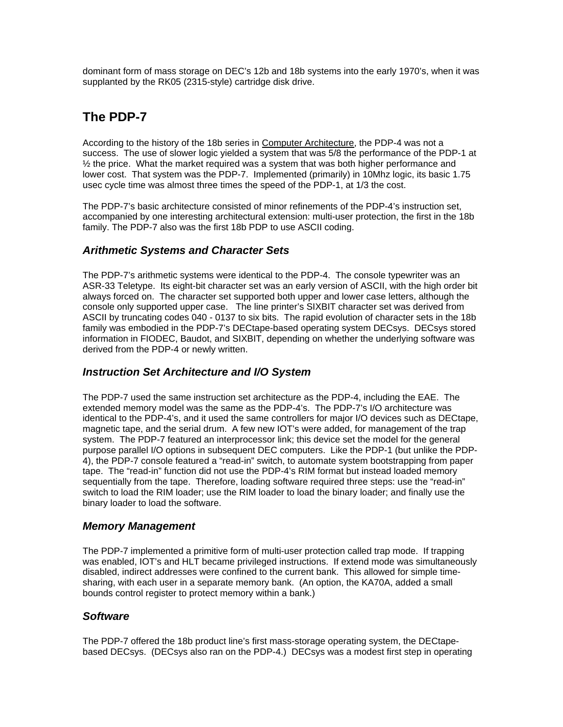dominant form of mass storage on DEC's 12b and 18b systems into the early 1970's, when it was supplanted by the RK05 (2315-style) cartridge disk drive.

# **The PDP-7**

According to the history of the 18b series in Computer Architecture, the PDP-4 was not a success. The use of slower logic yielded a system that was 5/8 the performance of the PDP-1 at  $\frac{1}{2}$  the price. What the market required was a system that was both higher performance and lower cost. That system was the PDP-7. Implemented (primarily) in 10Mhz logic, its basic 1.75 usec cycle time was almost three times the speed of the PDP-1, at 1/3 the cost.

The PDP-7's basic architecture consisted of minor refinements of the PDP-4's instruction set, accompanied by one interesting architectural extension: multi-user protection, the first in the 18b family. The PDP-7 also was the first 18b PDP to use ASCII coding.

### *Arithmetic Systems and Character Sets*

The PDP-7's arithmetic systems were identical to the PDP-4. The console typewriter was an ASR-33 Teletype. Its eight-bit character set was an early version of ASCII, with the high order bit always forced on. The character set supported both upper and lower case letters, although the console only supported upper case. The line printer's SIXBIT character set was derived from ASCII by truncating codes 040 - 0137 to six bits. The rapid evolution of character sets in the 18b family was embodied in the PDP-7's DECtape-based operating system DECsys. DECsys stored information in FIODEC, Baudot, and SIXBIT, depending on whether the underlying software was derived from the PDP-4 or newly written.

## *Instruction Set Architecture and I/O System*

The PDP-7 used the same instruction set architecture as the PDP-4, including the EAE. The extended memory model was the same as the PDP-4's. The PDP-7's I/O architecture was identical to the PDP-4's, and it used the same controllers for major I/O devices such as DECtape, magnetic tape, and the serial drum. A few new IOT's were added, for management of the trap system. The PDP-7 featured an interprocessor link; this device set the model for the general purpose parallel I/O options in subsequent DEC computers. Like the PDP-1 (but unlike the PDP-4), the PDP-7 console featured a "read-in" switch, to automate system bootstrapping from paper tape. The "read-in" function did not use the PDP-4's RIM format but instead loaded memory sequentially from the tape. Therefore, loading software required three steps: use the "read-in" switch to load the RIM loader; use the RIM loader to load the binary loader; and finally use the binary loader to load the software.

#### *Memory Management*

The PDP-7 implemented a primitive form of multi-user protection called trap mode. If trapping was enabled, IOT's and HLT became privileged instructions. If extend mode was simultaneously disabled, indirect addresses were confined to the current bank. This allowed for simple timesharing, with each user in a separate memory bank. (An option, the KA70A, added a small bounds control register to protect memory within a bank.)

## *Software*

The PDP-7 offered the 18b product line's first mass-storage operating system, the DECtapebased DECsys. (DECsys also ran on the PDP-4.) DECsys was a modest first step in operating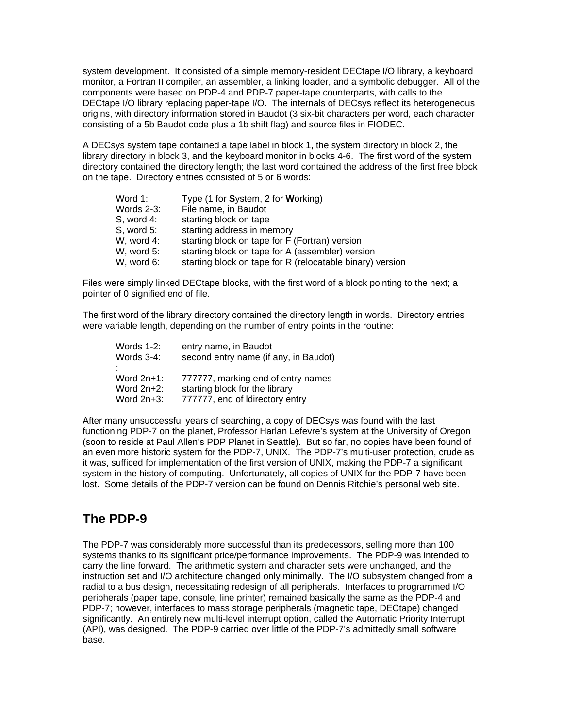system development. It consisted of a simple memory-resident DECtape I/O library, a keyboard monitor, a Fortran II compiler, an assembler, a linking loader, and a symbolic debugger. All of the components were based on PDP-4 and PDP-7 paper-tape counterparts, with calls to the DECtape I/O library replacing paper-tape I/O. The internals of DECsys reflect its heterogeneous origins, with directory information stored in Baudot (3 six-bit characters per word, each character consisting of a 5b Baudot code plus a 1b shift flag) and source files in FIODEC.

A DECsys system tape contained a tape label in block 1, the system directory in block 2, the library directory in block 3, and the keyboard monitor in blocks 4-6. The first word of the system directory contained the directory length; the last word contained the address of the first free block on the tape. Directory entries consisted of 5 or 6 words:

| Word 1:       | Type (1 for System, 2 for Working)                        |
|---------------|-----------------------------------------------------------|
| Words $2-3$ : | File name, in Baudot                                      |
| $S$ , word 4: | starting block on tape                                    |
| $S$ , word 5: | starting address in memory                                |
| W, word 4:    | starting block on tape for F (Fortran) version            |
| W, word 5:    | starting block on tape for A (assembler) version          |
| W, word 6:    | starting block on tape for R (relocatable binary) version |
|               |                                                           |

Files were simply linked DECtape blocks, with the first word of a block pointing to the next; a pointer of 0 signified end of file.

The first word of the library directory contained the directory length in words. Directory entries were variable length, depending on the number of entry points in the routine:

| entry name, in Baudot                 |
|---------------------------------------|
| second entry name (if any, in Baudot) |
|                                       |
| 777777, marking end of entry names    |
| starting block for the library        |
| 777777, end of Idirectory entry       |
|                                       |

After many unsuccessful years of searching, a copy of DECsys was found with the last functioning PDP-7 on the planet, Professor Harlan Lefevre's system at the University of Oregon (soon to reside at Paul Allen's PDP Planet in Seattle). But so far, no copies have been found of an even more historic system for the PDP-7, UNIX. The PDP-7's multi-user protection, crude as it was, sufficed for implementation of the first version of UNIX, making the PDP-7 a significant system in the history of computing. Unfortunately, all copies of UNIX for the PDP-7 have been lost. Some details of the PDP-7 version can be found on Dennis Ritchie's personal web site.

# **The PDP-9**

The PDP-7 was considerably more successful than its predecessors, selling more than 100 systems thanks to its significant price/performance improvements. The PDP-9 was intended to carry the line forward. The arithmetic system and character sets were unchanged, and the instruction set and I/O architecture changed only minimally. The I/O subsystem changed from a radial to a bus design, necessitating redesign of all peripherals. Interfaces to programmed I/O peripherals (paper tape, console, line printer) remained basically the same as the PDP-4 and PDP-7; however, interfaces to mass storage peripherals (magnetic tape, DECtape) changed significantly. An entirely new multi-level interrupt option, called the Automatic Priority Interrupt (API), was designed. The PDP-9 carried over little of the PDP-7's admittedly small software base.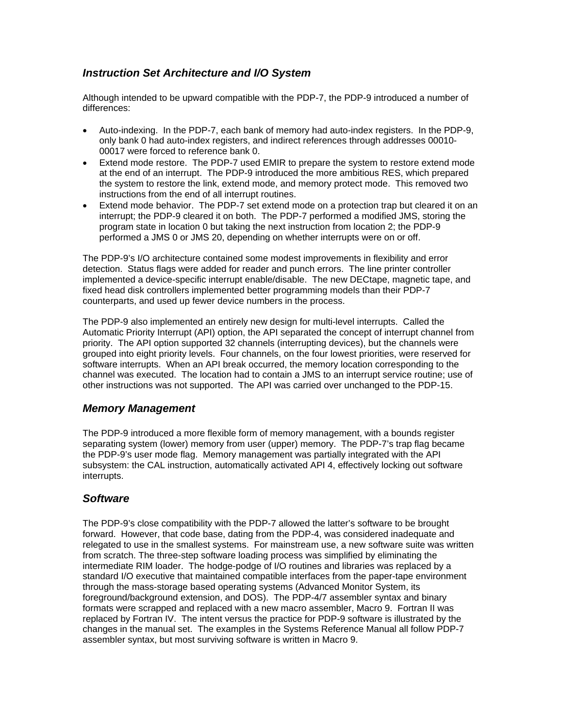# *Instruction Set Architecture and I/O System*

Although intended to be upward compatible with the PDP-7, the PDP-9 introduced a number of differences:

- Auto-indexing. In the PDP-7, each bank of memory had auto-index registers. In the PDP-9, only bank 0 had auto-index registers, and indirect references through addresses 00010- 00017 were forced to reference bank 0.
- Extend mode restore. The PDP-7 used EMIR to prepare the system to restore extend mode at the end of an interrupt. The PDP-9 introduced the more ambitious RES, which prepared the system to restore the link, extend mode, and memory protect mode. This removed two instructions from the end of all interrupt routines.
- Extend mode behavior. The PDP-7 set extend mode on a protection trap but cleared it on an interrupt; the PDP-9 cleared it on both. The PDP-7 performed a modified JMS, storing the program state in location 0 but taking the next instruction from location 2; the PDP-9 performed a JMS 0 or JMS 20, depending on whether interrupts were on or off.

The PDP-9's I/O architecture contained some modest improvements in flexibility and error detection. Status flags were added for reader and punch errors. The line printer controller implemented a device-specific interrupt enable/disable. The new DECtape, magnetic tape, and fixed head disk controllers implemented better programming models than their PDP-7 counterparts, and used up fewer device numbers in the process.

The PDP-9 also implemented an entirely new design for multi-level interrupts. Called the Automatic Priority Interrupt (API) option, the API separated the concept of interrupt channel from priority. The API option supported 32 channels (interrupting devices), but the channels were grouped into eight priority levels. Four channels, on the four lowest priorities, were reserved for software interrupts. When an API break occurred, the memory location corresponding to the channel was executed. The location had to contain a JMS to an interrupt service routine; use of other instructions was not supported. The API was carried over unchanged to the PDP-15.

## *Memory Management*

The PDP-9 introduced a more flexible form of memory management, with a bounds register separating system (lower) memory from user (upper) memory. The PDP-7's trap flag became the PDP-9's user mode flag. Memory management was partially integrated with the API subsystem: the CAL instruction, automatically activated API 4, effectively locking out software interrupts.

## *Software*

The PDP-9's close compatibility with the PDP-7 allowed the latter's software to be brought forward. However, that code base, dating from the PDP-4, was considered inadequate and relegated to use in the smallest systems. For mainstream use, a new software suite was written from scratch. The three-step software loading process was simplified by eliminating the intermediate RIM loader. The hodge-podge of I/O routines and libraries was replaced by a standard I/O executive that maintained compatible interfaces from the paper-tape environment through the mass-storage based operating systems (Advanced Monitor System, its foreground/background extension, and DOS). The PDP-4/7 assembler syntax and binary formats were scrapped and replaced with a new macro assembler, Macro 9. Fortran II was replaced by Fortran IV. The intent versus the practice for PDP-9 software is illustrated by the changes in the manual set. The examples in the Systems Reference Manual all follow PDP-7 assembler syntax, but most surviving software is written in Macro 9.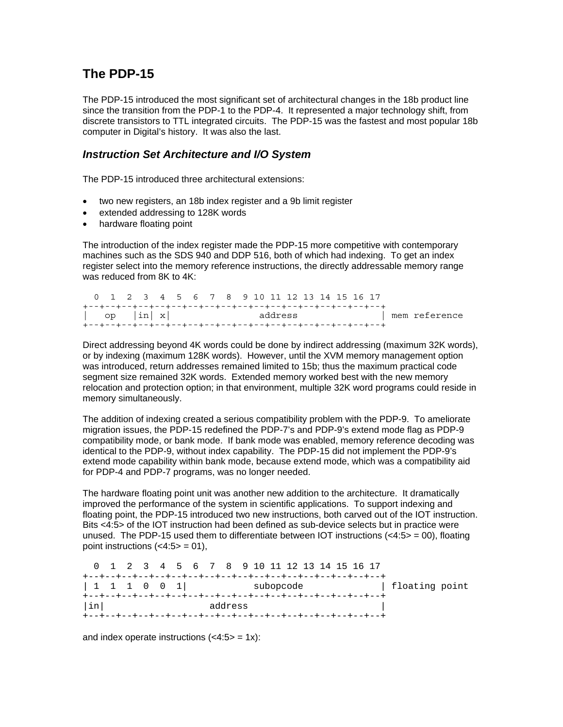# **The PDP-15**

The PDP-15 introduced the most significant set of architectural changes in the 18b product line since the transition from the PDP-1 to the PDP-4. It represented a major technology shift, from discrete transistors to TTL integrated circuits. The PDP-15 was the fastest and most popular 18b computer in Digital's history. It was also the last.

#### *Instruction Set Architecture and I/O System*

The PDP-15 introduced three architectural extensions:

- two new registers, an 18b index register and a 9b limit register
- extended addressing to 128K words
- hardware floating point

The introduction of the index register made the PDP-15 more competitive with contemporary machines such as the SDS 940 and DDP 516, both of which had indexing. To get an index register select into the memory reference instructions, the directly addressable memory range was reduced from 8K to 4K:

| 0 1 2 3 4 5 6 7 8 9 10 11 12 13 14 15 16 17 |  |  |                                                                                                                |  |  |  |  |  |               |
|---------------------------------------------|--|--|----------------------------------------------------------------------------------------------------------------|--|--|--|--|--|---------------|
|                                             |  |  |                                                                                                                |  |  |  |  |  |               |
| $\vert$ op $\vert$ in $\vert x \vert$       |  |  | address and an address and the sense of the sense of the sense of the sense of the sense of the sense of the s |  |  |  |  |  | mem reference |
|                                             |  |  |                                                                                                                |  |  |  |  |  |               |

Direct addressing beyond 4K words could be done by indirect addressing (maximum 32K words), or by indexing (maximum 128K words). However, until the XVM memory management option was introduced, return addresses remained limited to 15b; thus the maximum practical code segment size remained 32K words. Extended memory worked best with the new memory relocation and protection option; in that environment, multiple 32K word programs could reside in memory simultaneously.

The addition of indexing created a serious compatibility problem with the PDP-9. To ameliorate migration issues, the PDP-15 redefined the PDP-7's and PDP-9's extend mode flag as PDP-9 compatibility mode, or bank mode. If bank mode was enabled, memory reference decoding was identical to the PDP-9, without index capability. The PDP-15 did not implement the PDP-9's extend mode capability within bank mode, because extend mode, which was a compatibility aid for PDP-4 and PDP-7 programs, was no longer needed.

The hardware floating point unit was another new addition to the architecture. It dramatically improved the performance of the system in scientific applications. To support indexing and floating point, the PDP-15 introduced two new instructions, both carved out of the IOT instruction. Bits <4:5> of the IOT instruction had been defined as sub-device selects but in practice were unused. The PDP-15 used them to differentiate between IOT instructions  $\langle$ <4:5> = 00), floating point instructions  $( $4:5> = 01$ ),$ 

| 0 1 2 3 4 5 6 7 8 9 10 11 12 13 14 15 16 17                       |  |  |  |         |  |  |  |  |                |
|-------------------------------------------------------------------|--|--|--|---------|--|--|--|--|----------------|
| $\begin{array}{cccc} 1 & 1 & 1 & 0 & 0 & 1 \end{array}$ subopcode |  |  |  |         |  |  |  |  | floating point |
| linl                                                              |  |  |  | address |  |  |  |  |                |

and index operate instructions  $( $4:5> = 1x$ ):$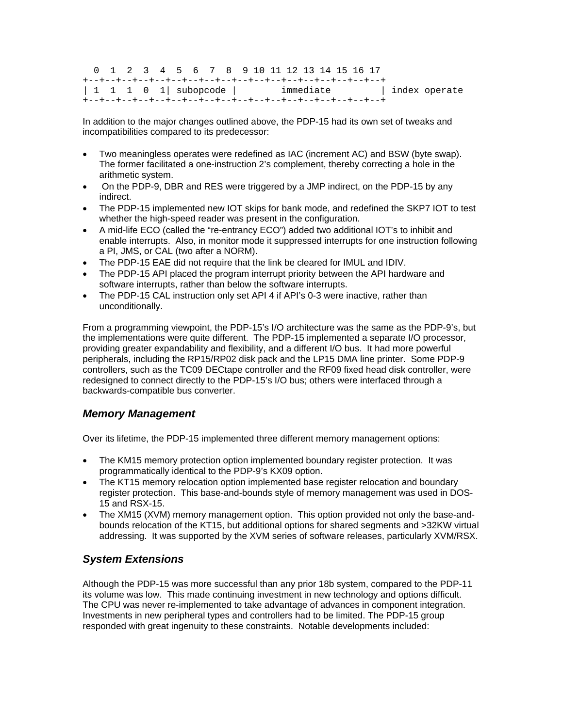0 1 2 3 4 5 6 7 8 9 10 11 12 13 14 15 16 17 +--+--+--+--+--+--+--+--+--+--+--+--+--+--+--+--+--+--+ | 1 1 1 0 1| subopcode | immediate | index operate +--+--+--+--+--+--+--+--+--+--+--+--+--+--+--+--+--+--+

In addition to the major changes outlined above, the PDP-15 had its own set of tweaks and incompatibilities compared to its predecessor:

- Two meaningless operates were redefined as IAC (increment AC) and BSW (byte swap). The former facilitated a one-instruction 2's complement, thereby correcting a hole in the arithmetic system.
- On the PDP-9, DBR and RES were triggered by a JMP indirect, on the PDP-15 by any indirect.
- The PDP-15 implemented new IOT skips for bank mode, and redefined the SKP7 IOT to test whether the high-speed reader was present in the configuration.
- A mid-life ECO (called the "re-entrancy ECO") added two additional IOT's to inhibit and enable interrupts. Also, in monitor mode it suppressed interrupts for one instruction following a PI, JMS, or CAL (two after a NORM).
- The PDP-15 EAE did not require that the link be cleared for IMUL and IDIV.
- The PDP-15 API placed the program interrupt priority between the API hardware and software interrupts, rather than below the software interrupts.
- The PDP-15 CAL instruction only set API 4 if API's 0-3 were inactive, rather than unconditionally.

From a programming viewpoint, the PDP-15's I/O architecture was the same as the PDP-9's, but the implementations were quite different. The PDP-15 implemented a separate I/O processor, providing greater expandability and flexibility, and a different I/O bus. It had more powerful peripherals, including the RP15/RP02 disk pack and the LP15 DMA line printer. Some PDP-9 controllers, such as the TC09 DECtape controller and the RF09 fixed head disk controller, were redesigned to connect directly to the PDP-15's I/O bus; others were interfaced through a backwards-compatible bus converter.

#### *Memory Management*

Over its lifetime, the PDP-15 implemented three different memory management options:

- The KM15 memory protection option implemented boundary register protection. It was programmatically identical to the PDP-9's KX09 option.
- The KT15 memory relocation option implemented base register relocation and boundary register protection. This base-and-bounds style of memory management was used in DOS-15 and RSX-15.
- The XM15 (XVM) memory management option. This option provided not only the base-andbounds relocation of the KT15, but additional options for shared segments and >32KW virtual addressing. It was supported by the XVM series of software releases, particularly XVM/RSX.

## *System Extensions*

Although the PDP-15 was more successful than any prior 18b system, compared to the PDP-11 its volume was low. This made continuing investment in new technology and options difficult. The CPU was never re-implemented to take advantage of advances in component integration. Investments in new peripheral types and controllers had to be limited. The PDP-15 group responded with great ingenuity to these constraints. Notable developments included: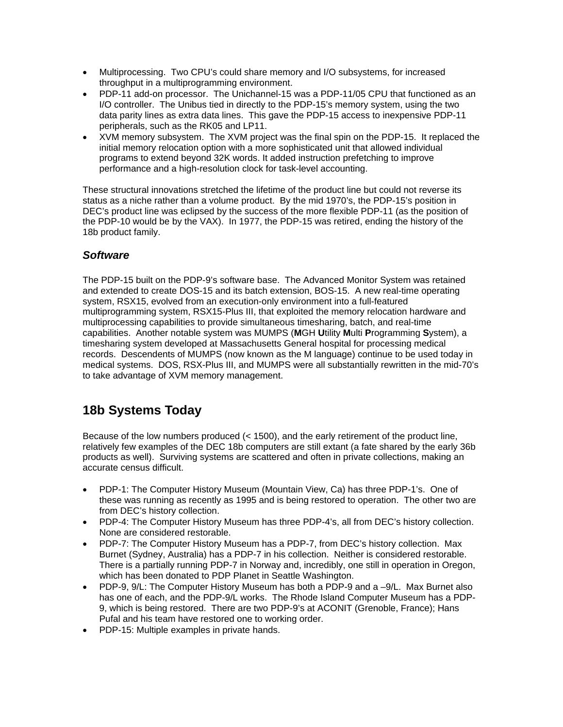- Multiprocessing. Two CPU's could share memory and I/O subsystems, for increased throughput in a multiprogramming environment.
- PDP-11 add-on processor. The Unichannel-15 was a PDP-11/05 CPU that functioned as an I/O controller. The Unibus tied in directly to the PDP-15's memory system, using the two data parity lines as extra data lines. This gave the PDP-15 access to inexpensive PDP-11 peripherals, such as the RK05 and LP11.
- XVM memory subsystem. The XVM project was the final spin on the PDP-15. It replaced the initial memory relocation option with a more sophisticated unit that allowed individual programs to extend beyond 32K words. It added instruction prefetching to improve performance and a high-resolution clock for task-level accounting.

These structural innovations stretched the lifetime of the product line but could not reverse its status as a niche rather than a volume product. By the mid 1970's, the PDP-15's position in DEC's product line was eclipsed by the success of the more flexible PDP-11 (as the position of the PDP-10 would be by the VAX). In 1977, the PDP-15 was retired, ending the history of the 18b product family.

# *Software*

The PDP-15 built on the PDP-9's software base. The Advanced Monitor System was retained and extended to create DOS-15 and its batch extension, BOS-15. A new real-time operating system, RSX15, evolved from an execution-only environment into a full-featured multiprogramming system, RSX15-Plus III, that exploited the memory relocation hardware and multiprocessing capabilities to provide simultaneous timesharing, batch, and real-time capabilities. Another notable system was MUMPS (**M**GH **U**tility **M**ulti **P**rogramming **S**ystem), a timesharing system developed at Massachusetts General hospital for processing medical records. Descendents of MUMPS (now known as the M language) continue to be used today in medical systems. DOS, RSX-Plus III, and MUMPS were all substantially rewritten in the mid-70's to take advantage of XVM memory management.

# **18b Systems Today**

Because of the low numbers produced (< 1500), and the early retirement of the product line, relatively few examples of the DEC 18b computers are still extant (a fate shared by the early 36b products as well). Surviving systems are scattered and often in private collections, making an accurate census difficult.

- PDP-1: The Computer History Museum (Mountain View, Ca) has three PDP-1's. One of these was running as recently as 1995 and is being restored to operation. The other two are from DEC's history collection.
- PDP-4: The Computer History Museum has three PDP-4's, all from DEC's history collection. None are considered restorable.
- PDP-7: The Computer History Museum has a PDP-7, from DEC's history collection. Max Burnet (Sydney, Australia) has a PDP-7 in his collection. Neither is considered restorable. There is a partially running PDP-7 in Norway and, incredibly, one still in operation in Oregon, which has been donated to PDP Planet in Seattle Washington.
- PDP-9, 9/L: The Computer History Museum has both a PDP-9 and a -9/L. Max Burnet also has one of each, and the PDP-9/L works. The Rhode Island Computer Museum has a PDP-9, which is being restored. There are two PDP-9's at ACONIT (Grenoble, France); Hans Pufal and his team have restored one to working order.
- PDP-15: Multiple examples in private hands.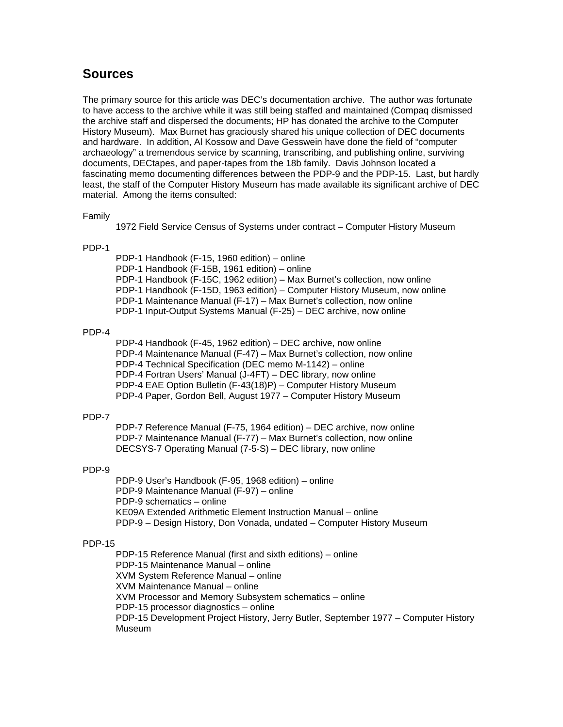# **Sources**

The primary source for this article was DEC's documentation archive. The author was fortunate to have access to the archive while it was still being staffed and maintained (Compaq dismissed the archive staff and dispersed the documents; HP has donated the archive to the Computer History Museum). Max Burnet has graciously shared his unique collection of DEC documents and hardware. In addition, Al Kossow and Dave Gesswein have done the field of "computer archaeology" a tremendous service by scanning, transcribing, and publishing online, surviving documents, DECtapes, and paper-tapes from the 18b family. Davis Johnson located a fascinating memo documenting differences between the PDP-9 and the PDP-15. Last, but hardly least, the staff of the Computer History Museum has made available its significant archive of DEC material. Among the items consulted:

#### Family

1972 Field Service Census of Systems under contract – Computer History Museum

#### PDP-1

 PDP-1 Handbook (F-15, 1960 edition) – online PDP-1 Handbook (F-15B, 1961 edition) – online PDP-1 Handbook (F-15C, 1962 edition) – Max Burnet's collection, now online PDP-1 Handbook (F-15D, 1963 edition) – Computer History Museum, now online PDP-1 Maintenance Manual (F-17) – Max Burnet's collection, now online PDP-1 Input-Output Systems Manual (F-25) – DEC archive, now online

#### PDP-4

 PDP-4 Handbook (F-45, 1962 edition) – DEC archive, now online PDP-4 Maintenance Manual (F-47) – Max Burnet's collection, now online PDP-4 Technical Specification (DEC memo M-1142) – online PDP-4 Fortran Users' Manual (J-4FT) – DEC library, now online PDP-4 EAE Option Bulletin (F-43(18)P) – Computer History Museum PDP-4 Paper, Gordon Bell, August 1977 – Computer History Museum

#### PDP-7

 PDP-7 Reference Manual (F-75, 1964 edition) – DEC archive, now online PDP-7 Maintenance Manual (F-77) – Max Burnet's collection, now online DECSYS-7 Operating Manual (7-5-S) – DEC library, now online

#### PDP-9

 PDP-9 User's Handbook (F-95, 1968 edition) – online PDP-9 Maintenance Manual (F-97) – online PDP-9 schematics – online KE09A Extended Arithmetic Element Instruction Manual – online PDP-9 – Design History, Don Vonada, undated – Computer History Museum

#### PDP-15

 PDP-15 Reference Manual (first and sixth editions) – online PDP-15 Maintenance Manual – online XVM System Reference Manual – online XVM Maintenance Manual – online XVM Processor and Memory Subsystem schematics – online PDP-15 processor diagnostics – online PDP-15 Development Project History, Jerry Butler, September 1977 – Computer History Museum